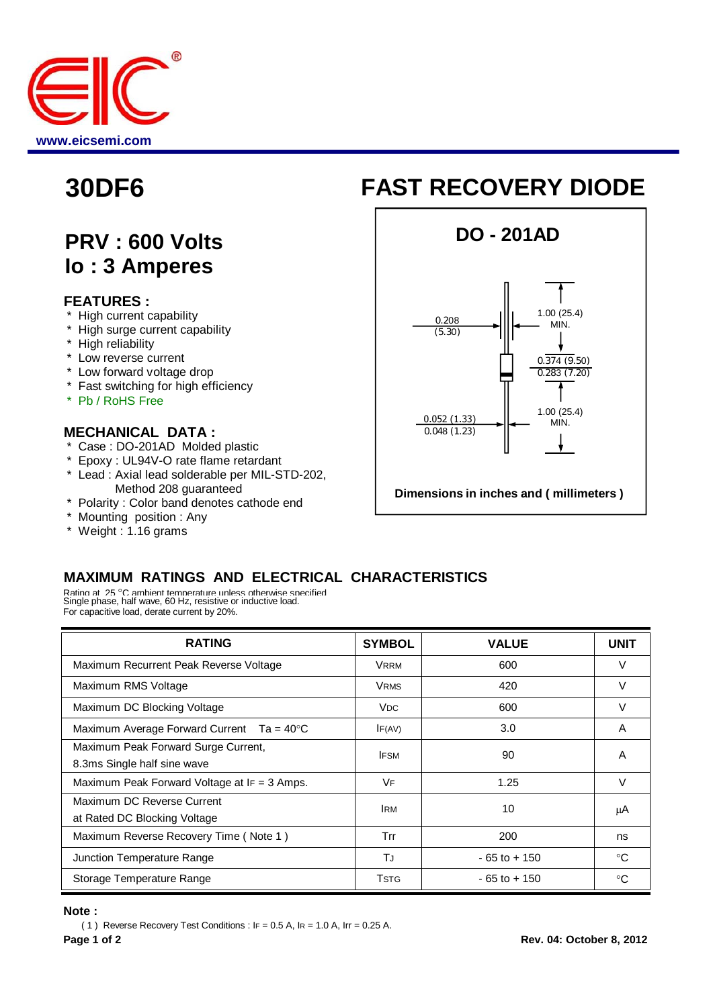

## **PRV : 600 Volts Io : 3 Amperes**

#### **FEATURES :**

- **High current capability**
- \* High surge current capability
- \* High reliability
- \* Low reverse current
- \* Low forward voltage drop
- \* Fast switching for high efficiency
- \* Pb / RoHS Free

#### **MECHANICAL DATA :**

- \* Case : DO-201AD Molded plastic
- \* Epoxy : UL94V-O rate flame retardant
- \* Lead : Axial lead solderable per MIL-STD-202, Method 208 guaranteed
- \* Polarity : Color band denotes cathode end
- \* Mounting position : Any
- \* Weight : 1.16 grams

# **30DF6 FAST RECOVERY DIODE**



### **MAXIMUM RATINGS AND ELECTRICAL CHARACTERISTICS**

Rating at 25 °C ambient temperature unless otherwise specified<br>Single phase, half wave, 60 Hz, resistive or inductive load. For capacitive load, derate current by 20%.

| <b>RATING</b>                                                      | <b>SYMBOL</b>           | <b>VALUE</b>    | <b>UNIT</b> |
|--------------------------------------------------------------------|-------------------------|-----------------|-------------|
| Maximum Recurrent Peak Reverse Voltage                             | <b>VRRM</b>             | 600             | V           |
| Maximum RMS Voltage                                                | <b>VRMS</b>             | 420             | V           |
| Maximum DC Blocking Voltage                                        | <b>V<sub>DC</sub></b>   | 600             | V           |
| Maximum Average Forward Current $Ta = 40^{\circ}C$                 | IF(AV)                  | 3.0             | A           |
| Maximum Peak Forward Surge Current,<br>8.3ms Single half sine wave | <b>IFSM</b>             | 90              | A           |
| Maximum Peak Forward Voltage at IF = 3 Amps.                       | VF                      | 1.25            | $\vee$      |
| Maximum DC Reverse Current<br>at Rated DC Blocking Voltage         | <b>IRM</b>              | 10              | μA          |
| Maximum Reverse Recovery Time (Note 1)                             | Trr                     | 200             | ns          |
| Junction Temperature Range                                         | ТJ                      | $-65$ to $+150$ | ∘C          |
| Storage Temperature Range                                          | <b>T</b> <sub>STG</sub> | $-65$ to $+150$ | ം           |

#### **Note :**